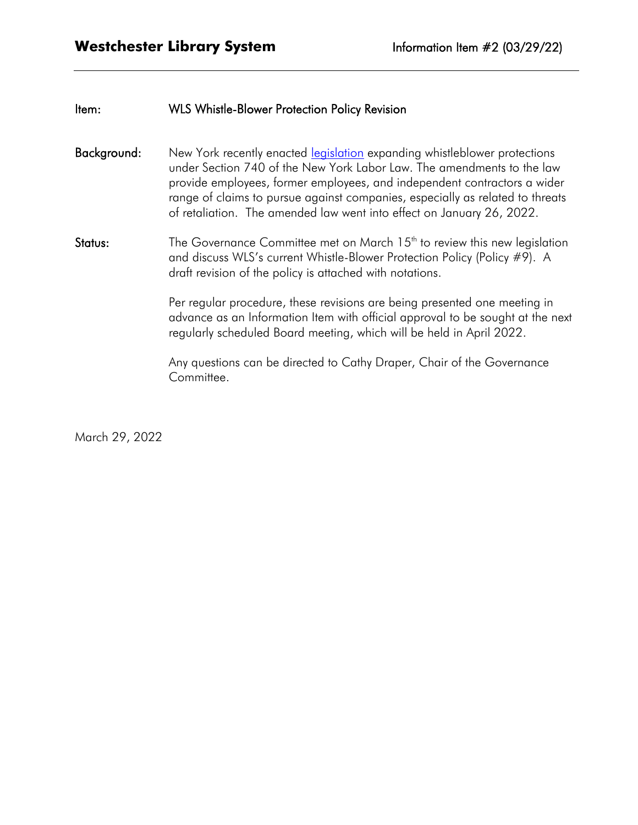| Item:       | WLS Whistle-Blower Protection Policy Revision                                                                                                                                                                                                                                                                                                                                             |
|-------------|-------------------------------------------------------------------------------------------------------------------------------------------------------------------------------------------------------------------------------------------------------------------------------------------------------------------------------------------------------------------------------------------|
| Background: | New York recently enacted legislation expanding whistleblower protections<br>under Section 740 of the New York Labor Law. The amendments to the law<br>provide employees, former employees, and independent contractors a wider<br>range of claims to pursue against companies, especially as related to threats<br>of retaliation. The amended law went into effect on January 26, 2022. |
| Status:     | The Governance Committee met on March 15 <sup>th</sup> to review this new legislation<br>and discuss WLS's current Whistle-Blower Protection Policy (Policy #9). A<br>draft revision of the policy is attached with notations.                                                                                                                                                            |
|             | Per regular procedure, these revisions are being presented one meeting in<br>advance as an Information Item with official approval to be sought at the next<br>regularly scheduled Board meeting, which will be held in April 2022.                                                                                                                                                       |
|             | Any questions can be directed to Cathy Draper, Chair of the Governance<br>Committee.                                                                                                                                                                                                                                                                                                      |

March 29, 2022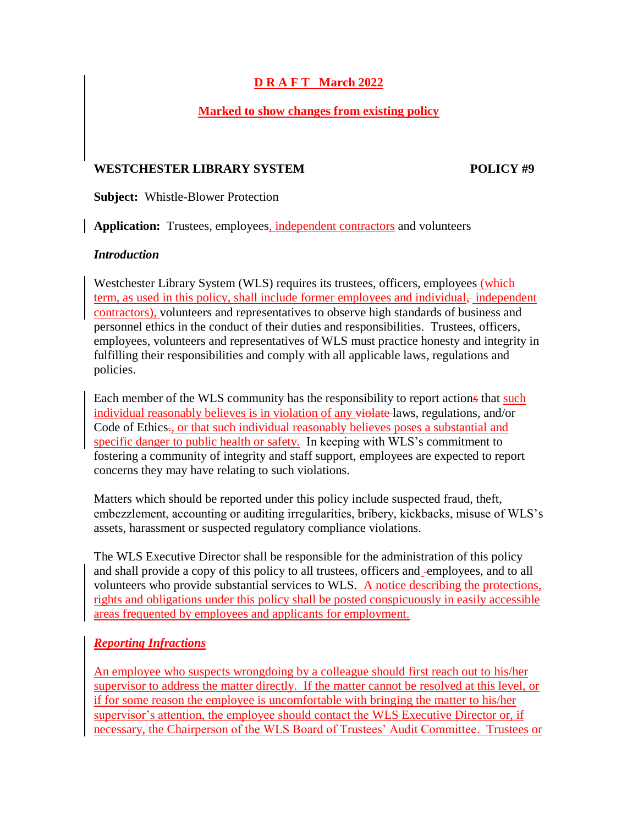## **D R A F T March 2022**

## **Marked to show changes from existing policy**

### **WESTCHESTER LIBRARY SYSTEM POLICY #9**

**Subject:** Whistle-Blower Protection

**Application:** Trustees, employees, independent contractors and volunteers

#### *Introduction*

Westchester Library System (WLS) requires its trustees, officers, employees (which term, as used in this policy, shall include former employees and individual, independent contractors), volunteers and representatives to observe high standards of business and personnel ethics in the conduct of their duties and responsibilities. Trustees, officers, employees, volunteers and representatives of WLS must practice honesty and integrity in fulfilling their responsibilities and comply with all applicable laws, regulations and policies.

Each member of the WLS community has the responsibility to report actions that such individual reasonably believes is in violation of any violate laws, regulations, and/or Code of Ethics., or that such individual reasonably believes poses a substantial and specific danger to public health or safety. In keeping with WLS's commitment to fostering a community of integrity and staff support, employees are expected to report concerns they may have relating to such violations.

Matters which should be reported under this policy include suspected fraud, theft, embezzlement, accounting or auditing irregularities, bribery, kickbacks, misuse of WLS's assets, harassment or suspected regulatory compliance violations.

The WLS Executive Director shall be responsible for the administration of this policy and shall provide a copy of this policy to all trustees, officers and employees, and to all volunteers who provide substantial services to WLS. A notice describing the protections, rights and obligations under this policy shall be posted conspicuously in easily accessible areas frequented by employees and applicants for employment.

### *Reporting Infractions*

An employee who suspects wrongdoing by a colleague should first reach out to his/her supervisor to address the matter directly. If the matter cannot be resolved at this level, or if for some reason the employee is uncomfortable with bringing the matter to his/her supervisor's attention, the employee should contact the WLS Executive Director or, if necessary, the Chairperson of the WLS Board of Trustees' Audit Committee. Trustees or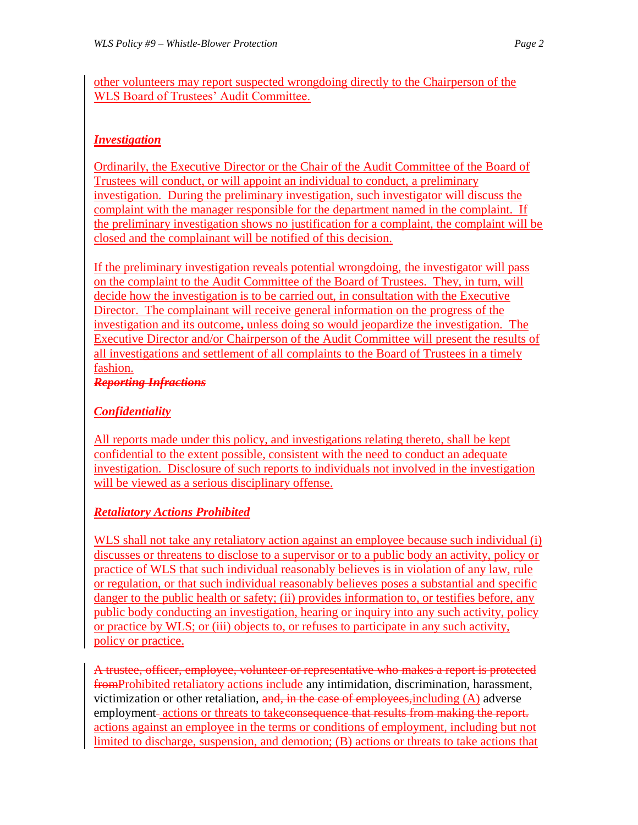### other volunteers may report suspected wrongdoing directly to the Chairperson of the WLS Board of Trustees' Audit Committee.

# *Investigation*

Ordinarily, the Executive Director or the Chair of the Audit Committee of the Board of Trustees will conduct, or will appoint an individual to conduct, a preliminary investigation. During the preliminary investigation, such investigator will discuss the complaint with the manager responsible for the department named in the complaint. If the preliminary investigation shows no justification for a complaint, the complaint will be closed and the complainant will be notified of this decision.

If the preliminary investigation reveals potential wrongdoing, the investigator will pass on the complaint to the Audit Committee of the Board of Trustees. They, in turn, will decide how the investigation is to be carried out, in consultation with the Executive Director. The complainant will receive general information on the progress of the investigation and its outcome**,** unless doing so would jeopardize the investigation. The Executive Director and/or Chairperson of the Audit Committee will present the results of all investigations and settlement of all complaints to the Board of Trustees in a timely fashion.

## *Reporting Infractions*

## *Confidentiality*

All reports made under this policy, and investigations relating thereto, shall be kept confidential to the extent possible, consistent with the need to conduct an adequate investigation. Disclosure of such reports to individuals not involved in the investigation will be viewed as a serious disciplinary offense.

# *Retaliatory Actions Prohibited*

WLS shall not take any retaliatory action against an employee because such individual (i) discusses or threatens to disclose to a supervisor or to a public body an activity, policy or practice of WLS that such individual reasonably believes is in violation of any law, rule or regulation, or that such individual reasonably believes poses a substantial and specific danger to the public health or safety; (ii) provides information to, or testifies before, any public body conducting an investigation, hearing or inquiry into any such activity, policy or practice by WLS; or (iii) objects to, or refuses to participate in any such activity, policy or practice.

A trustee, officer, employee, volunteer or representative who makes a report is protected fromProhibited retaliatory actions include any intimidation, discrimination, harassment, victimization or other retaliation,  $\frac{and}{,} \frac{in \text{ the case of employees, including (A) adverse}}{in \text{ } }$ employment- actions or threats to take consequence that results from making the report. actions against an employee in the terms or conditions of employment, including but not limited to discharge, suspension, and demotion; (B) actions or threats to take actions that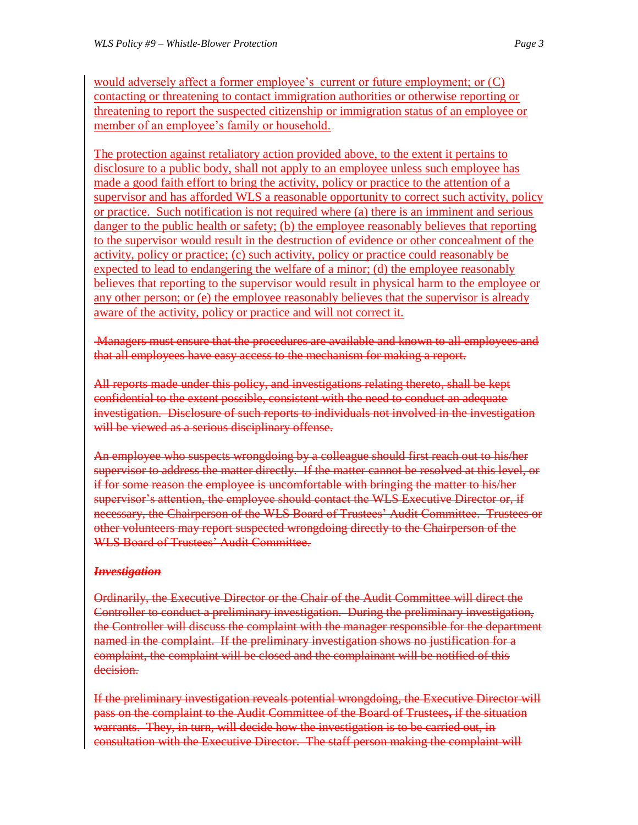would adversely affect a former employee's current or future employment; or (C) contacting or threatening to contact immigration authorities or otherwise reporting or threatening to report the suspected citizenship or immigration status of an employee or member of an employee's family or household.

The protection against retaliatory action provided above, to the extent it pertains to disclosure to a public body, shall not apply to an employee unless such employee has made a good faith effort to bring the activity, policy or practice to the attention of a supervisor and has afforded WLS a reasonable opportunity to correct such activity, policy or practice. Such notification is not required where (a) there is an imminent and serious danger to the public health or safety; (b) the employee reasonably believes that reporting to the supervisor would result in the destruction of evidence or other concealment of the activity, policy or practice; (c) such activity, policy or practice could reasonably be expected to lead to endangering the welfare of a minor; (d) the employee reasonably believes that reporting to the supervisor would result in physical harm to the employee or any other person; or (e) the employee reasonably believes that the supervisor is already aware of the activity, policy or practice and will not correct it.

Managers must ensure that the procedures are available and known to all employees and that all employees have easy access to the mechanism for making a report.

All reports made under this policy, and investigations relating thereto, shall be kept confidential to the extent possible, consistent with the need to conduct an adequate investigation. Disclosure of such reports to individuals not involved in the investigation will be viewed as a serious disciplinary offense.

An employee who suspects wrongdoing by a colleague should first reach out to his/her supervisor to address the matter directly. If the matter cannot be resolved at this level, or if for some reason the employee is uncomfortable with bringing the matter to his/her supervisor's attention, the employee should contact the WLS Executive Director or, if necessary, the Chairperson of the WLS Board of Trustees' Audit Committee. Trustees or other volunteers may report suspected wrongdoing directly to the Chairperson of the WLS Board of Trustees' Audit Committee.

#### *Investigation*

Ordinarily, the Executive Director or the Chair of the Audit Committee will direct the Controller to conduct a preliminary investigation. During the preliminary investigation, the Controller will discuss the complaint with the manager responsible for the department named in the complaint. If the preliminary investigation shows no justification for a complaint, the complaint will be closed and the complainant will be notified of this decision.

If the preliminary investigation reveals potential wrongdoing, the Executive Director will pass on the complaint to the Audit Committee of the Board of Trustees**,** if the situation warrants. They, in turn, will decide how the investigation is to be carried out, in consultation with the Executive Director. The staff person making the complaint will